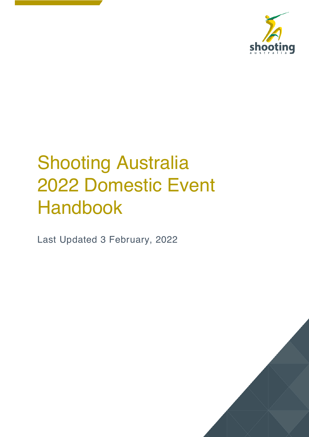

# **Shooting Australia** 2022 Domestic Event Handbook

Last Updated 3 February, 2022

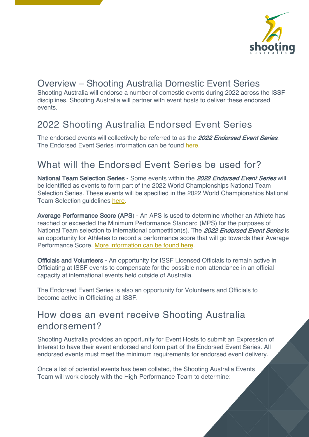

## Overview – Shooting Australia Domestic Event Series

Shooting Australia will endorse a number of domestic events during 2022 across the ISSF disciplines. Shooting Australia will partner with event hosts to deliver these endorsed events.

### 2022 Shooting Australia Endorsed Event Series

The endorsed events will collectively be referred to as the 2022 Endorsed Event Series. The Endorsed Event Series information can be found here.

### What will the Endorsed Event Series be used for?

National Team Selection Series - Some events within the 2022 Endorsed Event Series will be identified as events to form part of the 2022 World Championships National Team Selection Series. These events will be specified in the 2022 World Championships National Team Selection guidelines here.

Average Performance Score (APS) - An APS is used to determine whether an Athlete has reached or exceeded the Minimum Performance Standard (MPS) for the purposes of National Team selection to international competition(s). The 2022 Endorsed Event Series is an opportunity for Athletes to record a performance score that will go towards their Average Performance Score. More information can be found here.

Officials and Volunteers - An opportunity for ISSF Licensed Officials to remain active in Officiating at ISSF events to compensate for the possible non-attendance in an official capacity at international events held outside of Australia.

The Endorsed Event Series is also an opportunity for Volunteers and Officials to become active in Officiating at ISSF.

### How does an event receive Shooting Australia endorsement?

Shooting Australia provides an opportunity for Event Hosts to submit an Expression of Interest to have their event endorsed and form part of the Endorsed Event Series. All endorsed events must meet the minimum requirements for endorsed event delivery.

Once a list of potential events has been collated, the Shooting Australia Events Team will work closely with the High-Performance Team to determine: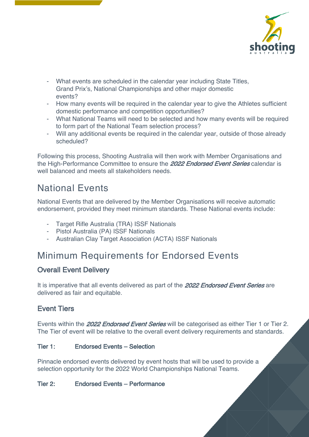

- What events are scheduled in the calendar year including State Titles, Grand Prix's, National Championships and other major domestic events?
- How many events will be required in the calendar year to give the Athletes sufficient domestic performance and competition opportunities?
- What National Teams will need to be selected and how many events will be required to form part of the National Team selection process?
- Will any additional events be required in the calendar year, outside of those already scheduled?

Following this process, Shooting Australia will then work with Member Organisations and the High-Performance Committee to ensure the 2022 Endorsed Event Series calendar is well balanced and meets all stakeholders needs.

### National Events

National Events that are delivered by the Member Organisations will receive automatic endorsement, provided they meet minimum standards. These National events include:

- Target Rifle Australia (TRA) ISSF Nationals
- Pistol Australia (PA) ISSF Nationals
- Australian Clay Target Association (ACTA) ISSF Nationals

### Minimum Requirements for Endorsed Events

### Overall Event Delivery

It is imperative that all events delivered as part of the 2022 Endorsed Event Series are delivered as fair and equitable.

#### Event Tiers

Events within the 2022 Endorsed Event Series will be categorised as either Tier 1 or Tier 2. The Tier of event will be relative to the overall event delivery requirements and standards.

#### Tier 1: Endorsed Events – Selection

Pinnacle endorsed events delivered by event hosts that will be used to provide a selection opportunity for the 2022 World Championships National Teams.

#### Tier 2: Endorsed Events – Performance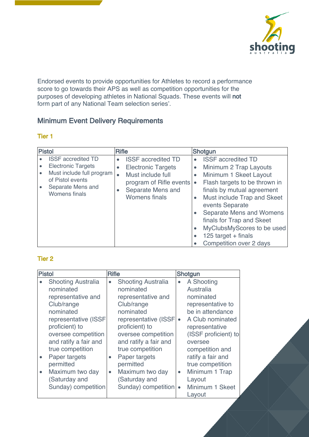

Endorsed events to provide opportunities for Athletes to record a performance score to go towards their APS as well as competition opportunities for the purposes of developing athletes in National Squads. These events will not form part of any National Team selection series'.

### Minimum Event Delivery Requirements

#### Tier 1

| <b>Pistol</b>                                                                                                                                        | <b>Rifle</b>                                                                                                                                                                               | Shotgun                                                                                                                                                                                                                                                                                                                                                                                              |
|------------------------------------------------------------------------------------------------------------------------------------------------------|--------------------------------------------------------------------------------------------------------------------------------------------------------------------------------------------|------------------------------------------------------------------------------------------------------------------------------------------------------------------------------------------------------------------------------------------------------------------------------------------------------------------------------------------------------------------------------------------------------|
| <b>ISSF</b> accredited TD<br><b>Electronic Targets</b><br>Must include full program<br>of Pistol events<br>Separate Mens and<br><b>Womens finals</b> | <b>ISSF</b> accredited TD<br>$\bullet$<br><b>Electronic Targets</b><br>$\bullet$<br>Must include full<br>program of Rifle events<br>Separate Mens and<br>$\bullet$<br><b>Womens finals</b> | <b>ISSF</b> accredited TD<br>$\bullet$<br>Minimum 2 Trap Layouts<br>$\bullet$<br>Minimum 1 Skeet Layout<br>$\bullet$<br>Flash targets to be thrown in<br>finals by mutual agreement<br>Must include Trap and Skeet<br>$\bullet$<br>events Separate<br>Separate Mens and Womens<br>finals for Trap and Skeet<br>MyClubsMyScores to be used<br>125 target $+$ finals<br><b>Competition over 2 days</b> |

#### Tier 2

| Pistol    |                                                                                                                                                                                                                                                                                                | <b>Rifle</b>           |                                                                                                                                                                                                                                                                                                |                                                  | Shotgun                                                                                                                                                                                                                                                           |
|-----------|------------------------------------------------------------------------------------------------------------------------------------------------------------------------------------------------------------------------------------------------------------------------------------------------|------------------------|------------------------------------------------------------------------------------------------------------------------------------------------------------------------------------------------------------------------------------------------------------------------------------------------|--------------------------------------------------|-------------------------------------------------------------------------------------------------------------------------------------------------------------------------------------------------------------------------------------------------------------------|
| $\bullet$ | <b>Shooting Australia</b><br>nominated<br>representative and<br>Club/range<br>nominated<br>representative (ISSF<br>proficient) to<br>oversee competition<br>and ratify a fair and<br>true competition<br>Paper targets<br>permitted<br>Maximum two day<br>(Saturday and<br>Sunday) competition | $\bullet$<br>$\bullet$ | <b>Shooting Australia</b><br>nominated<br>representative and<br>Club/range<br>nominated<br>representative (ISSF<br>proficient) to<br>oversee competition<br>and ratify a fair and<br>true competition<br>Paper targets<br>permitted<br>Maximum two day<br>(Saturday and<br>Sunday) competition | $\bullet$<br>$\bullet$<br>$\bullet$<br>$\bullet$ | A Shooting<br>Australia<br>nominated<br>representative to<br>be in attendance<br>A Club nominated<br>representative<br>(ISSF proficient) to<br>oversee<br>competition and<br>ratify a fair and<br>true competition<br>Minimum 1 Trap<br>Layout<br>Minimum 1 Skeet |
|           |                                                                                                                                                                                                                                                                                                |                        |                                                                                                                                                                                                                                                                                                |                                                  | Layout                                                                                                                                                                                                                                                            |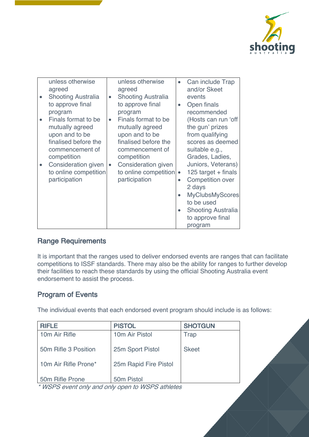

| unless otherwise           |           | unless otherwise          |           | Can include Trap          |
|----------------------------|-----------|---------------------------|-----------|---------------------------|
| agreed                     |           | agreed                    |           | and/or Skeet              |
| <b>Shooting Australia</b>  | $\bullet$ | <b>Shooting Australia</b> |           | events                    |
| to approve final           |           | to approve final          | $\bullet$ | Open finals               |
| program                    |           | program                   |           | recommended               |
| Finals format to be        | $\bullet$ | Finals format to be       |           | (Hosts can run 'off       |
| mutually agreed            |           | mutually agreed           |           | the gun' prizes           |
| upon and to be             |           | upon and to be            |           | from qualifying           |
| finalised before the       |           | finalised before the      |           | scores as deemed          |
| commencement of            |           | commencement of           |           | suitable e.g.,            |
| competition                |           | competition               |           | Grades, Ladies,           |
| <b>Consideration given</b> |           | Consideration given       |           | Juniors, Veterans)        |
| to online competition      |           | to online competition     | $\bullet$ | 125 target $+$ finals     |
| participation              |           | participation             |           | <b>Competition over</b>   |
|                            |           |                           |           | 2 days                    |
|                            |           |                           |           | <b>MyClubsMyScores</b>    |
|                            |           |                           |           | to be used                |
|                            |           |                           | $\bullet$ | <b>Shooting Australia</b> |
|                            |           |                           |           | to approve final          |
|                            |           |                           |           | program                   |

#### Range Requirements

It is important that the ranges used to deliver endorsed events are ranges that can facilitate competitions to ISSF standards. There may also be the ability for ranges to further develop their facilities to reach these standards by using the official Shooting Australia event endorsement to assist the process.

#### Program of Events

The individual events that each endorsed event program should include is as follows:

| <b>RIFLE</b>         | <b>PISTOL</b>              | <b>SHOTGUN</b> |
|----------------------|----------------------------|----------------|
| 10m Air Rifle        | 10 <sub>m</sub> Air Pistol | Trap           |
|                      |                            |                |
| 50m Rifle 3 Position | 25m Sport Pistol           | <b>Skeet</b>   |
|                      |                            |                |
| 10m Air Rifle Prone* | 25m Rapid Fire Pistol      |                |
|                      |                            |                |
| 50m Rifle Prone      | 50 <sub>m</sub> Pistol     |                |

\* WSPS event only and only open to WSPS athletes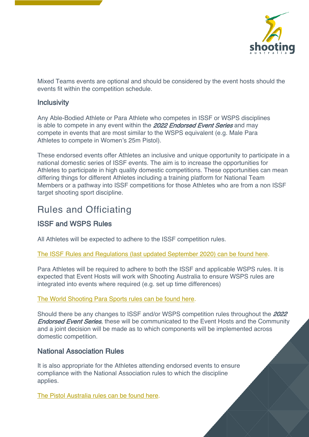

Mixed Teams events are optional and should be considered by the event hosts should the events fit within the competition schedule.

#### **Inclusivity**

Any Able-Bodied Athlete or Para Athlete who competes in ISSF or WSPS disciplines is able to compete in any event within the 2022 Endorsed Event Series and may compete in events that are most similar to the WSPS equivalent (e.g. Male Para Athletes to compete in Women's 25m Pistol).

These endorsed events offer Athletes an inclusive and unique opportunity to participate in a national domestic series of ISSF events. The aim is to increase the opportunities for Athletes to participate in high quality domestic competitions. These opportunities can mean differing things for different Athletes including a training platform for National Team Members or a pathway into ISSF competitions for those Athletes who are from a non ISSF target shooting sport discipline.

### Rules and Officiating

### ISSF and WSPS Rules

All Athletes will be expected to adhere to the ISSF competition rules.

#### The ISSF Rules and Regulations (last updated September 2020) can be found here.

Para Athletes will be required to adhere to both the ISSF and applicable WSPS rules. It is expected that Event Hosts will work with Shooting Australia to ensure WSPS rules are integrated into events where required (e.g. set up time differences)

#### The World Shooting Para Sports rules can be found here.

Should there be any changes to ISSF and/or WSPS competition rules throughout the 2022 **Endorsed Event Series**, these will be communicated to the Event Hosts and the Community and a joint decision will be made as to which components will be implemented across domestic competition.

#### National Association Rules

It is also appropriate for the Athletes attending endorsed events to ensure compliance with the National Association rules to which the discipline applies.

The Pistol Australia rules can be found here.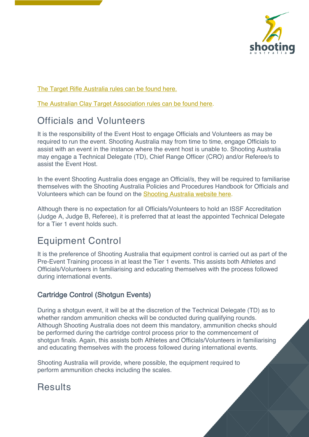

The Target Rifle Australia rules can be found here.

The Australian Clay Target Association rules can be found here.

## Officials and Volunteers

It is the responsibility of the Event Host to engage Officials and Volunteers as may be required to run the event. Shooting Australia may from time to time, engage Officials to assist with an event in the instance where the event host is unable to. Shooting Australia may engage a Technical Delegate (TD), Chief Range Officer (CRO) and/or Referee/s to assist the Event Host.

In the event Shooting Australia does engage an Official/s, they will be required to familiarise themselves with the Shooting Australia Policies and Procedures Handbook for Officials and Volunteers which can be found on the Shooting Australia website here.

Although there is no expectation for all Officials/Volunteers to hold an ISSF Accreditation (Judge A, Judge B, Referee), it is preferred that at least the appointed Technical Delegate for a Tier 1 event holds such.

## Equipment Control

It is the preference of Shooting Australia that equipment control is carried out as part of the Pre-Event Training process in at least the Tier 1 events. This assists both Athletes and Officials/Volunteers in familiarising and educating themselves with the process followed during international events.

### Cartridge Control (Shotgun Events)

During a shotgun event, it will be at the discretion of the Technical Delegate (TD) as to whether random ammunition checks will be conducted during qualifying rounds. Although Shooting Australia does not deem this mandatory, ammunition checks should be performed during the cartridge control process prior to the commencement of shotgun finals. Again, this assists both Athletes and Officials/Volunteers in familiarising and educating themselves with the process followed during international events.

Shooting Australia will provide, where possible, the equipment required to perform ammunition checks including the scales.

# **Results**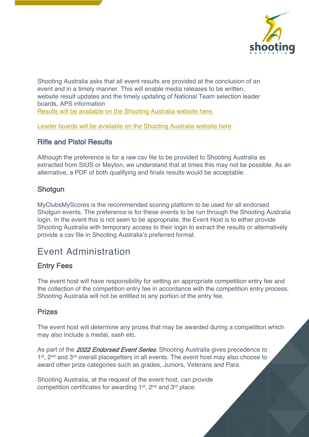

Shooting Australia asks that all event results are provided at the conclusion of an event and in a timely manner. This will enable media releases to be written, website result updates and the timely updating of National Team selection leader boards, APS information Results will be available on the Shooting Australia website here.

Leader boards will be available on the Shooting Australia website here.

#### Rifle and Pistol Results

Although the preference is for a raw csv file to be provided to Shooting Australia as extracted from SIUS or Meyton, we understand that at times this may not be possible. As an alternative, a PDF of both qualifying and finals results would be acceptable.

#### **Shotgun**

MyClubsMyScores is the recommended scoring platform to be used for all endorsed Shotgun events. The preference is for these events to be run through the Shooting Australia login. In the event this is not seen to be appropriate, the Event Host is to either provide Shooting Australia with temporary access to their login to extract the results or alternatively provide a csv file in Shooting Australia's preferred format.

### Event Administration

#### Entry Fees

The event host will have responsibility for setting an appropriate competition entry fee and the collection of the competition entry fee in accordance with the competition entry process. Shooting Australia will not be entitled to any portion of the entry fee.

#### Prizes

The event host will determine any prizes that may be awarded during a competition which may also include a medal, sash etc.

As part of the 2022 Endorsed Event Series, Shooting Australia gives precedence to 1<sup>st</sup>, 2<sup>nd</sup> and 3<sup>rd</sup> overall placegetters in all events. The event host may also choose to award other prize categories such as grades, Juniors, Veterans and Para.

Shooting Australia, at the request of the event host, can provide competition certificates for awarding 1st, 2nd and 3rd place.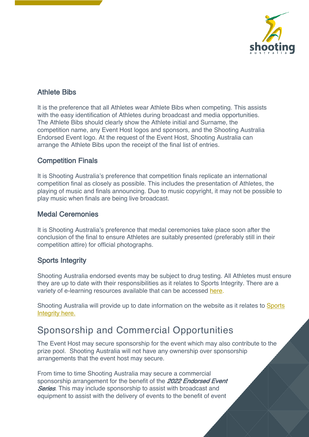

#### Athlete Bibs

It is the preference that all Athletes wear Athlete Bibs when competing. This assists with the easy identification of Athletes during broadcast and media opportunities. The Athlete Bibs should clearly show the Athlete initial and Surname, the competition name, any Event Host logos and sponsors, and the Shooting Australia Endorsed Event logo. At the request of the Event Host, Shooting Australia can arrange the Athlete Bibs upon the receipt of the final list of entries.

#### Competition Finals

It is Shooting Australia's preference that competition finals replicate an international competition final as closely as possible. This includes the presentation of Athletes, the playing of music and finals announcing. Due to music copyright, it may not be possible to play music when finals are being live broadcast.

#### Medal Ceremonies

It is Shooting Australia's preference that medal ceremonies take place soon after the conclusion of the final to ensure Athletes are suitably presented (preferably still in their competition attire) for official photographs.

#### Sports Integrity

Shooting Australia endorsed events may be subject to drug testing. All Athletes must ensure they are up to date with their responsibilities as it relates to Sports Integrity. There are a variety of e-learning resources available that can be accessed here.

Shooting Australia will provide up to date information on the website as it relates to Sports Integrity here.

### Sponsorship and Commercial Opportunities

The Event Host may secure sponsorship for the event which may also contribute to the prize pool. Shooting Australia will not have any ownership over sponsorship arrangements that the event host may secure.

From time to time Shooting Australia may secure a commercial sponsorship arrangement for the benefit of the 2022 Endorsed Event **Series**. This may include sponsorship to assist with broadcast and equipment to assist with the delivery of events to the benefit of event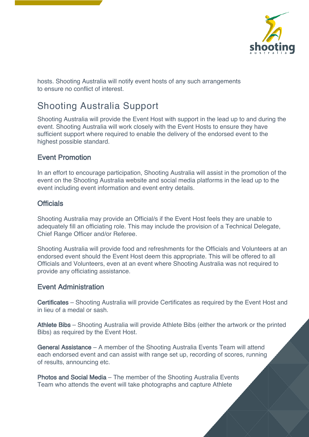

hosts. Shooting Australia will notify event hosts of any such arrangements to ensure no conflict of interest.

## Shooting Australia Support

Shooting Australia will provide the Event Host with support in the lead up to and during the event. Shooting Australia will work closely with the Event Hosts to ensure they have sufficient support where required to enable the delivery of the endorsed event to the highest possible standard.

#### Event Promotion

In an effort to encourage participation, Shooting Australia will assist in the promotion of the event on the Shooting Australia website and social media platforms in the lead up to the event including event information and event entry details.

#### **Officials**

Shooting Australia may provide an Official/s if the Event Host feels they are unable to adequately fill an officiating role. This may include the provision of a Technical Delegate, Chief Range Officer and/or Referee.

Shooting Australia will provide food and refreshments for the Officials and Volunteers at an endorsed event should the Event Host deem this appropriate. This will be offered to all Officials and Volunteers, even at an event where Shooting Australia was not required to provide any officiating assistance.

#### Event Administration

Certificates – Shooting Australia will provide Certificates as required by the Event Host and in lieu of a medal or sash.

Athlete Bibs – Shooting Australia will provide Athlete Bibs (either the artwork or the printed Bibs) as required by the Event Host.

General Assistance – A member of the Shooting Australia Events Team will attend each endorsed event and can assist with range set up, recording of scores, running of results, announcing etc.

Photos and Social Media – The member of the Shooting Australia Events Team who attends the event will take photographs and capture Athlete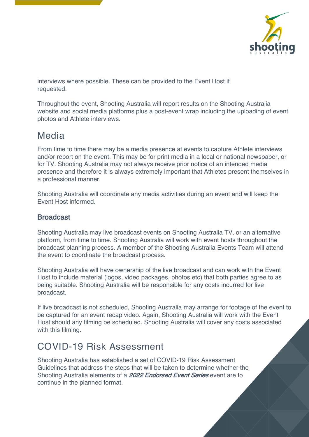

interviews where possible. These can be provided to the Event Host if requested.

Throughout the event, Shooting Australia will report results on the Shooting Australia website and social media platforms plus a post-event wrap including the uploading of event photos and Athlete interviews.

### Media

From time to time there may be a media presence at events to capture Athlete interviews and/or report on the event. This may be for print media in a local or national newspaper, or for TV. Shooting Australia may not always receive prior notice of an intended media presence and therefore it is always extremely important that Athletes present themselves in a professional manner.

Shooting Australia will coordinate any media activities during an event and will keep the Event Host informed.

#### **Broadcast**

Shooting Australia may live broadcast events on Shooting Australia TV, or an alternative platform, from time to time. Shooting Australia will work with event hosts throughout the broadcast planning process. A member of the Shooting Australia Events Team will attend the event to coordinate the broadcast process.

Shooting Australia will have ownership of the live broadcast and can work with the Event Host to include material (logos, video packages, photos etc) that both parties agree to as being suitable. Shooting Australia will be responsible for any costs incurred for live broadcast.

If live broadcast is not scheduled, Shooting Australia may arrange for footage of the event to be captured for an event recap video. Again, Shooting Australia will work with the Event Host should any filming be scheduled. Shooting Australia will cover any costs associated with this filming.

### COVID-19 Risk Assessment

Shooting Australia has established a set of COVID-19 Risk Assessment Guidelines that address the steps that will be taken to determine whether the Shooting Australia elements of a 2022 Endorsed Event Series event are to continue in the planned format.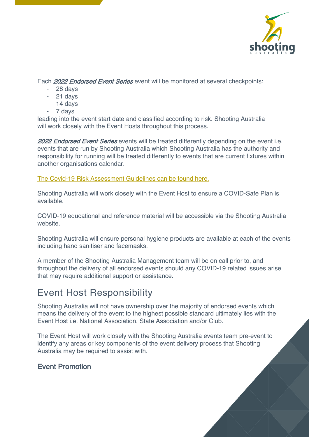

Each 2022 Endorsed Event Series event will be monitored at several checkpoints:

- 28 days
- 21 days
- 14 days
- 7 days

leading into the event start date and classified according to risk. Shooting Australia will work closely with the Event Hosts throughout this process.

2022 Endorsed Event Series events will be treated differently depending on the event i.e. events that are run by Shooting Australia which Shooting Australia has the authority and responsibility for running will be treated differently to events that are current fixtures within another organisations calendar.

The Covid-19 Risk Assessment Guidelines can be found here.

Shooting Australia will work closely with the Event Host to ensure a COVID-Safe Plan is available.

COVID-19 educational and reference material will be accessible via the Shooting Australia website.

Shooting Australia will ensure personal hygiene products are available at each of the events including hand sanitiser and facemasks.

A member of the Shooting Australia Management team will be on call prior to, and throughout the delivery of all endorsed events should any COVID-19 related issues arise that may require additional support or assistance.

### Event Host Responsibility

Shooting Australia will not have ownership over the majority of endorsed events which means the delivery of the event to the highest possible standard ultimately lies with the Event Host i.e. National Association, State Association and/or Club.

The Event Host will work closely with the Shooting Australia events team pre-event to identify any areas or key components of the event delivery process that Shooting Australia may be required to assist with.

#### Event Promotion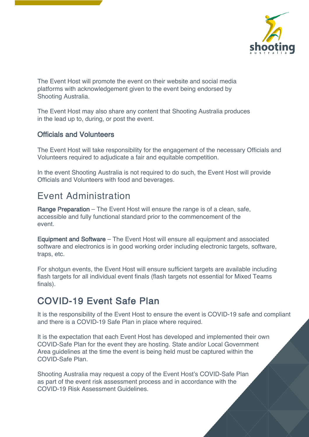

The Event Host will promote the event on their website and social media platforms with acknowledgement given to the event being endorsed by Shooting Australia.

The Event Host may also share any content that Shooting Australia produces in the lead up to, during, or post the event.

#### Officials and Volunteers

The Event Host will take responsibility for the engagement of the necessary Officials and Volunteers required to adjudicate a fair and equitable competition.

In the event Shooting Australia is not required to do such, the Event Host will provide Officials and Volunteers with food and beverages.

### Event Administration

Range Preparation – The Event Host will ensure the range is of a clean, safe, accessible and fully functional standard prior to the commencement of the event.

Equipment and Software – The Event Host will ensure all equipment and associated software and electronics is in good working order including electronic targets, software, traps, etc.

For shotgun events, the Event Host will ensure sufficient targets are available including flash targets for all individual event finals (flash targets not essential for Mixed Teams finals).

### COVID-19 Event Safe Plan

It is the responsibility of the Event Host to ensure the event is COVID-19 safe and compliant and there is a COVID-19 Safe Plan in place where required.

It is the expectation that each Event Host has developed and implemented their own COVID-Safe Plan for the event they are hosting. State and/or Local Government Area guidelines at the time the event is being held must be captured within the COVID-Safe Plan.

Shooting Australia may request a copy of the Event Host's COVID-Safe Plan as part of the event risk assessment process and in accordance with the COVID-19 Risk Assessment Guidelines.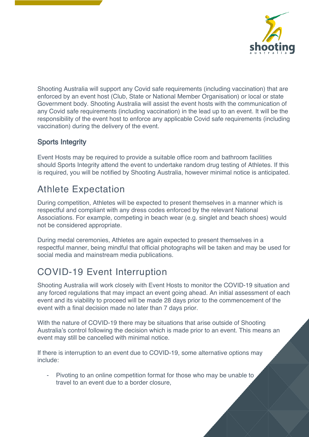

Shooting Australia will support any Covid safe requirements (including vaccination) that are enforced by an event host (Club, State or National Member Organisation) or local or state Government body. Shooting Australia will assist the event hosts with the communication of any Covid safe requirements (including vaccination) in the lead up to an event. It will be the responsibility of the event host to enforce any applicable Covid safe requirements (including vaccination) during the delivery of the event.

### Sports Integrity

Event Hosts may be required to provide a suitable office room and bathroom facilities should Sports Integrity attend the event to undertake random drug testing of Athletes. If this is required, you will be notified by Shooting Australia, however minimal notice is anticipated.

# Athlete Expectation

During competition, Athletes will be expected to present themselves in a manner which is respectful and compliant with any dress codes enforced by the relevant National Associations. For example, competing in beach wear (e.g. singlet and beach shoes) would not be considered appropriate.

During medal ceremonies, Athletes are again expected to present themselves in a respectful manner, being mindful that official photographs will be taken and may be used for social media and mainstream media publications.

# COVID-19 Event Interruption

Shooting Australia will work closely with Event Hosts to monitor the COVID-19 situation and any forced regulations that may impact an event going ahead. An initial assessment of each event and its viability to proceed will be made 28 days prior to the commencement of the event with a final decision made no later than 7 days prior.

With the nature of COVID-19 there may be situations that arise outside of Shooting Australia's control following the decision which is made prior to an event. This means an event may still be cancelled with minimal notice.

If there is interruption to an event due to COVID-19, some alternative options may include:

Pivoting to an online competition format for those who may be unable to travel to an event due to a border closure,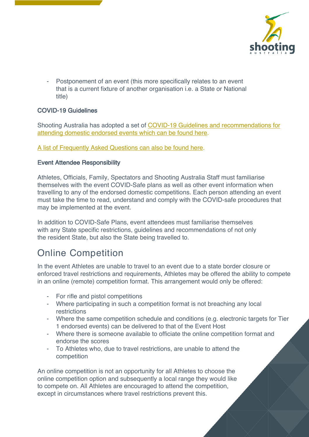

Postponement of an event (this more specifically relates to an event that is a current fixture of another organisation i.e. a State or National title)

#### COVID-19 Guidelines

Shooting Australia has adopted a set of COVID-19 Guidelines and recommendations for attending domestic endorsed events which can be found here.

A list of Frequently Asked Questions can also be found here.

#### Event Attendee Responsibility

Athletes, Officials, Family, Spectators and Shooting Australia Staff must familiarise themselves with the event COVID-Safe plans as well as other event information when travelling to any of the endorsed domestic competitions. Each person attending an event must take the time to read, understand and comply with the COVID-safe procedures that may be implemented at the event.

In addition to COVID-Safe Plans, event attendees must familiarise themselves with any State specific restrictions, guidelines and recommendations of not only the resident State, but also the State being travelled to.

## Online Competition

In the event Athletes are unable to travel to an event due to a state border closure or enforced travel restrictions and requirements, Athletes may be offered the ability to compete in an online (remote) competition format. This arrangement would only be offered:

- For rifle and pistol competitions
- Where participating in such a competition format is not breaching any local restrictions
- Where the same competition schedule and conditions (e.g. electronic targets for Tier 1 endorsed events) can be delivered to that of the Event Host
- Where there is someone available to officiate the online competition format and endorse the scores
- To Athletes who, due to travel restrictions, are unable to attend the competition

An online competition is not an opportunity for all Athletes to choose the online competition option and subsequently a local range they would like to compete on. All Athletes are encouraged to attend the competition, except in circumstances where travel restrictions prevent this.